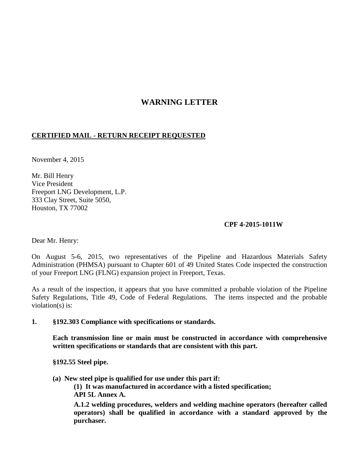## **WARNING LETTER**

## **CERTIFIED MAIL - RETURN RECEIPT REQUESTED**

November 4, 2015

Mr. Bill Henry Vice President Freeport LNG Development, L.P. 333 Clay Street, Suite 5050, Houston, TX 77002

## **CPF 4-2015-1011W**

Dear Mr. Henry:

On August 5-6, 2015, two representatives of the Pipeline and Hazardous Materials Safety Administration (PHMSA) pursuant to Chapter 601 of 49 United States Code inspected the construction of your Freeport LNG (FLNG) expansion project in Freeport, Texas.

As a result of the inspection, it appears that you have committed a probable violation of the Pipeline Safety Regulations, Title 49, Code of Federal Regulations. The items inspected and the probable violation(s) is:

## **1. §192.303 Compliance with specifications or standards.**

**Each transmission line or main must be constructed in accordance with comprehensive written specifications or standards that are consistent with this part.**

**§192.55 Steel pipe.** 

**(a) New steel pipe is qualified for use under this part if:**

 **(1) It was manufactured in accordance with a listed specification; API 5L Annex A.**

**A.1.2 welding procedures, welders and welding machine operators (hereafter called operators) shall be qualified in accordance with a standard approved by the purchaser.**